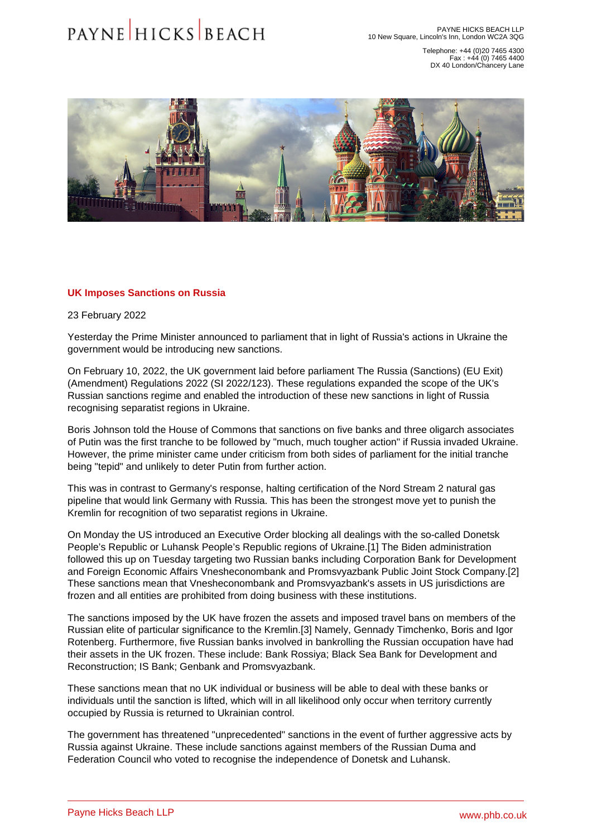Telephone: +44 (0)20 7465 4300 Fax : +44 (0) 7465 4400 DX 40 London/Chancery Lane

## <span id="page-0-0"></span>UK Imposes Sanctions on Russia

## 23 February 2022

Yesterday the Prime Minister announced to parliament that in light of Russia's actions in Ukraine the government would be introducing new sanctions.

On February 10, 2022, the UK government laid before parliament The Russia (Sanctions) (EU Exit) (Amendment) Regulations 2022 (SI 2022/123). These regulations expanded the scope of the [UK's](�� h t t p s : / / w w w . p h b . c o . u k / l e g a l - u p d a t e s / u k s - r u s s i a n - s a n c t i o n s - r e g i m e - e x p a n s i o n - t h e - a m e n d e d - r e g u l a t i o n s - 2 0 2 2)  [Russian sanctions regime](�� h t t p s : / / w w w . p h b . c o . u k / l e g a l - u p d a t e s / u k s - r u s s i a n - s a n c t i o n s - r e g i m e - e x p a n s i o n - t h e - a m e n d e d - r e g u l a t i o n s - 2 0 2 2) and enabled the introduction of these new sanctions in light of Russia recognising separatist regions in Ukraine.

Boris Johnson told the House of Commons that sanctions on five banks and three oligarch associates of Putin was the first tranche to be followed by "much, much tougher action" if Russia invaded Ukraine. However, the prime minister came under criticism from both sides of parliament for the initial tranche being "tepid" and unlikely to deter Putin from further action.

This was in contrast to Germany's response, halting certification of the Nord Stream 2 natural gas pipeline that would link Germany with Russia. This has been the strongest move yet to punish the Kremlin for recognition of two separatist regions in Ukraine.

On Monday the US introduced an Executive Order blocking all dealings with the so-called Donetsk People's Republic or Luhansk People's Republic regions of Ukraine.[\[1\]](#page-1-0) The Biden administration followed this up on Tuesday targeting two Russian banks including Corporation Bank for Development and Foreign Economic Affairs Vnesheconombank and Promsvyazbank Public Joint Stock Company.[\[2\]](#page-1-0) These sanctions mean that Vnesheconombank and Promsvyazbank's assets in US jurisdictions are frozen and all entities are prohibited from doing business with these institutions.

The sanctions imposed by the UK have frozen the assets and imposed travel bans on members of the Russian elite of particular significance to the Kremlin.[\[3\]](#page-1-0) Namely, Gennady Timchenko, Boris and Igor Rotenberg. Furthermore, five Russian banks involved in bankrolling the Russian occupation have had their assets in the UK frozen. These include: Bank Rossiya; Black Sea Bank for Development and Reconstruction; IS Bank; Genbank and Promsvyazbank.

These sanctions mean that no UK individual or business will be able to deal with these banks or individuals until the sanction is lifted, which will in all likelihood only occur when territory currently occupied by Russia is returned to Ukrainian control.

The government has threatened "unprecedented" sanctions in the event of further aggressive acts by Russia against Ukraine. These include sanctions against members of the Russian Duma and Federation Council who voted to recognise the independence of Donetsk and Luhansk.